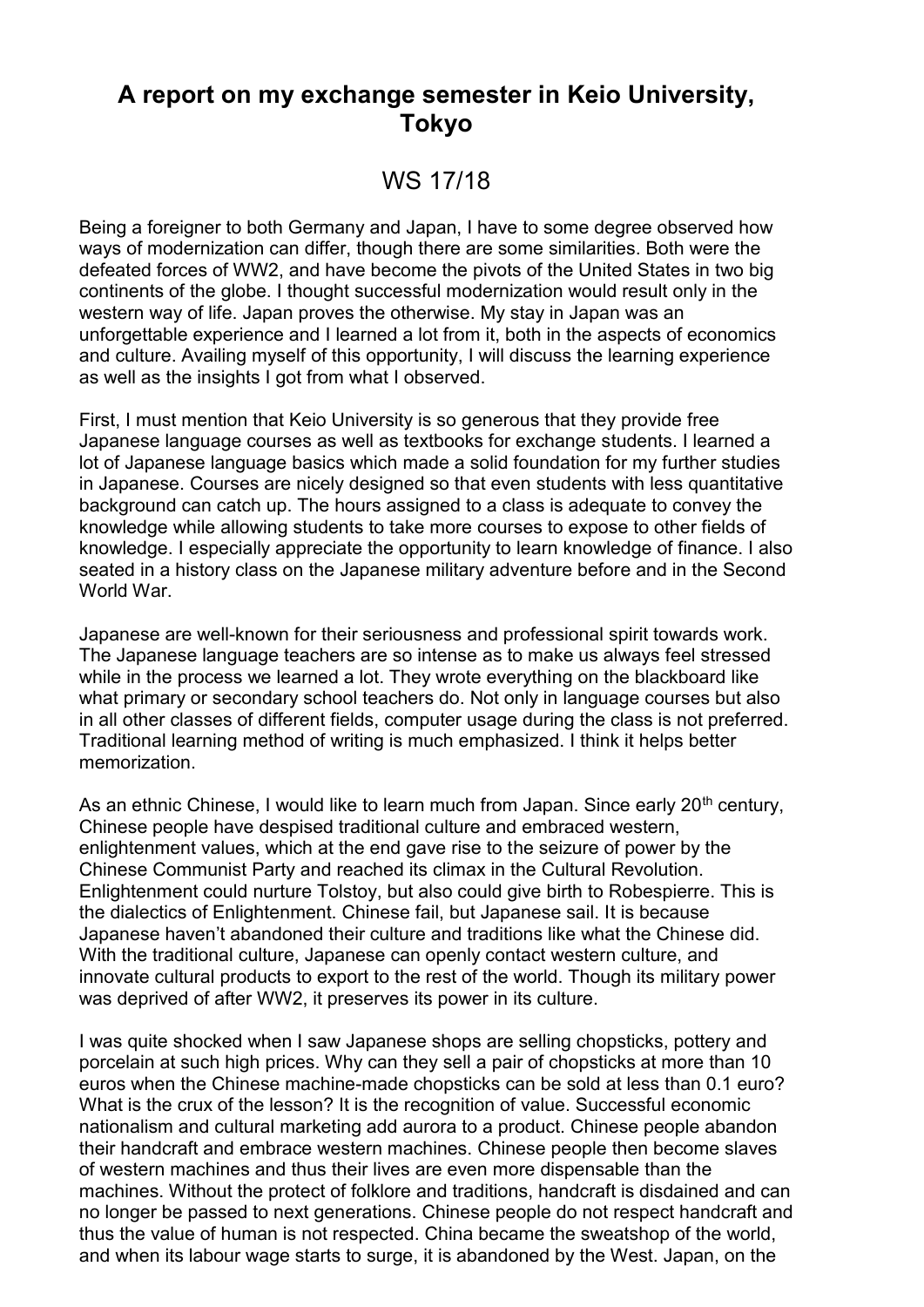## **A report on my exchange semester in Keio University, Tokyo**

## WS 17/18

Being a foreigner to both Germany and Japan, I have to some degree observed how ways of modernization can differ, though there are some similarities. Both were the defeated forces of WW2, and have become the pivots of the United States in two big continents of the globe. I thought successful modernization would result only in the western way of life. Japan proves the otherwise. My stay in Japan was an unforgettable experience and I learned a lot from it, both in the aspects of economics and culture. Availing myself of this opportunity, I will discuss the learning experience as well as the insights I got from what I observed.

First, I must mention that Keio University is so generous that they provide free Japanese language courses as well as textbooks for exchange students. I learned a lot of Japanese language basics which made a solid foundation for my further studies in Japanese. Courses are nicely designed so that even students with less quantitative background can catch up. The hours assigned to a class is adequate to convey the knowledge while allowing students to take more courses to expose to other fields of knowledge. I especially appreciate the opportunity to learn knowledge of finance. I also seated in a history class on the Japanese military adventure before and in the Second World War.

Japanese are well-known for their seriousness and professional spirit towards work. The Japanese language teachers are so intense as to make us always feel stressed while in the process we learned a lot. They wrote everything on the blackboard like what primary or secondary school teachers do. Not only in language courses but also in all other classes of different fields, computer usage during the class is not preferred. Traditional learning method of writing is much emphasized. I think it helps better memorization.

As an ethnic Chinese, I would like to learn much from Japan. Since early 20<sup>th</sup> century, Chinese people have despised traditional culture and embraced western, enlightenment values, which at the end gave rise to the seizure of power by the Chinese Communist Party and reached its climax in the Cultural Revolution. Enlightenment could nurture Tolstoy, but also could give birth to Robespierre. This is the dialectics of Enlightenment. Chinese fail, but Japanese sail. It is because Japanese haven't abandoned their culture and traditions like what the Chinese did. With the traditional culture, Japanese can openly contact western culture, and innovate cultural products to export to the rest of the world. Though its military power was deprived of after WW2, it preserves its power in its culture.

I was quite shocked when I saw Japanese shops are selling chopsticks, pottery and porcelain at such high prices. Why can they sell a pair of chopsticks at more than 10 euros when the Chinese machine-made chopsticks can be sold at less than 0.1 euro? What is the crux of the lesson? It is the recognition of value. Successful economic nationalism and cultural marketing add aurora to a product. Chinese people abandon their handcraft and embrace western machines. Chinese people then become slaves of western machines and thus their lives are even more dispensable than the machines. Without the protect of folklore and traditions, handcraft is disdained and can no longer be passed to next generations. Chinese people do not respect handcraft and thus the value of human is not respected. China became the sweatshop of the world, and when its labour wage starts to surge, it is abandoned by the West. Japan, on the